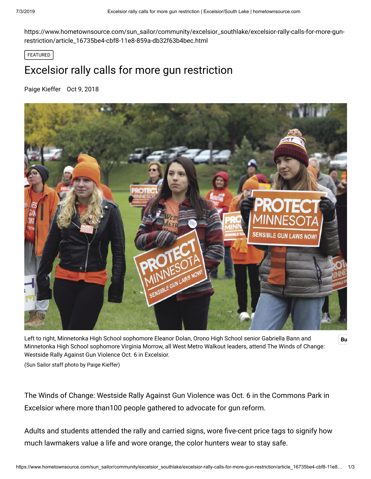https://www.hometownsource.com/sun\_sailor/community/excelsior\_southlake/excelsior-rally-calls-for-more-gunrestriction/article\_16735be4-cbf8-11e8-859a-db32f63b4bec.html

FEATURED

## Excelsior rally calls for more gun restriction

[Paige Kieffer](https://www.hometownsource.com/users/profile/pkieffer) Oct 9, 2018



Left to right, Minnetonka High School sophomore Eleanor Dolan, Orono High School senior Gabriella Bann and **Bu** Minnetonka High School sophomore Virginia Morrow, all West Metro Walkout leaders, attend The Winds of Change: Westside Rally Against Gun Violence Oct. 6 in Excelsior.

(Sun Sailor staff photo by Paige Kieffer)

The Winds of Change: Westside Rally Against Gun Violence was Oct. 6 in the Commons Park in Excelsior where more than100 people gathered to advocate for gun reform.

Adults and students attended the rally and carried signs, wore five-cent price tags to signify how much lawmakers value a life and wore orange, the color hunters wear to stay safe.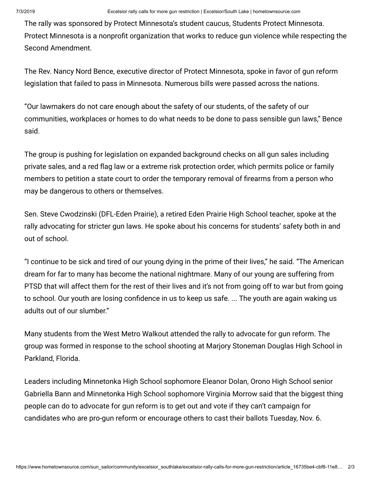The rally was sponsored by Protect Minnesota's student caucus, Students Protect Minnesota. Protect Minnesota is a nonprofit organization that works to reduce gun violence while respecting the Second Amendment.

The Rev. Nancy Nord Bence, executive director of Protect Minnesota, spoke in favor of gun reform legislation that failed to pass in Minnesota. Numerous bills were passed across the nations.

"Our lawmakers do not care enough about the safety of our students, of the safety of our communities, workplaces or homes to do what needs to be done to pass sensible gun laws," Bence said.

The group is pushing for legislation on expanded background checks on all gun sales including private sales, and a red flag law or a extreme risk protection order, which permits police or family members to petition a state court to order the temporary removal of firearms from a person who may be dangerous to others or themselves.

Sen. Steve Cwodzinski (DFL-Eden Prairie), a retired Eden Prairie High School teacher, spoke at the rally advocating for stricter gun laws. He spoke about his concerns for students' safety both in and out of school.

"I continue to be sick and tired of our young dying in the prime of their lives," he said. "The American dream for far to many has become the national nightmare. Many of our young are suffering from PTSD that will affect them for the rest of their lives and it's not from going off to war but from going to school. Our youth are losing confidence in us to keep us safe. ... The youth are again waking us adults out of our slumber."

Many students from the West Metro Walkout attended the rally to advocate for gun reform. The group was formed in response to the school shooting at Marjory Stoneman Douglas High School in Parkland, Florida.

Leaders including Minnetonka High School sophomore Eleanor Dolan, Orono High School senior Gabriella Bann and Minnetonka High School sophomore Virginia Morrow said that the biggest thing people can do to advocate for gun reform is to get out and vote if they can't campaign for candidates who are pro-gun reform or encourage others to cast their ballots Tuesday, Nov. 6.